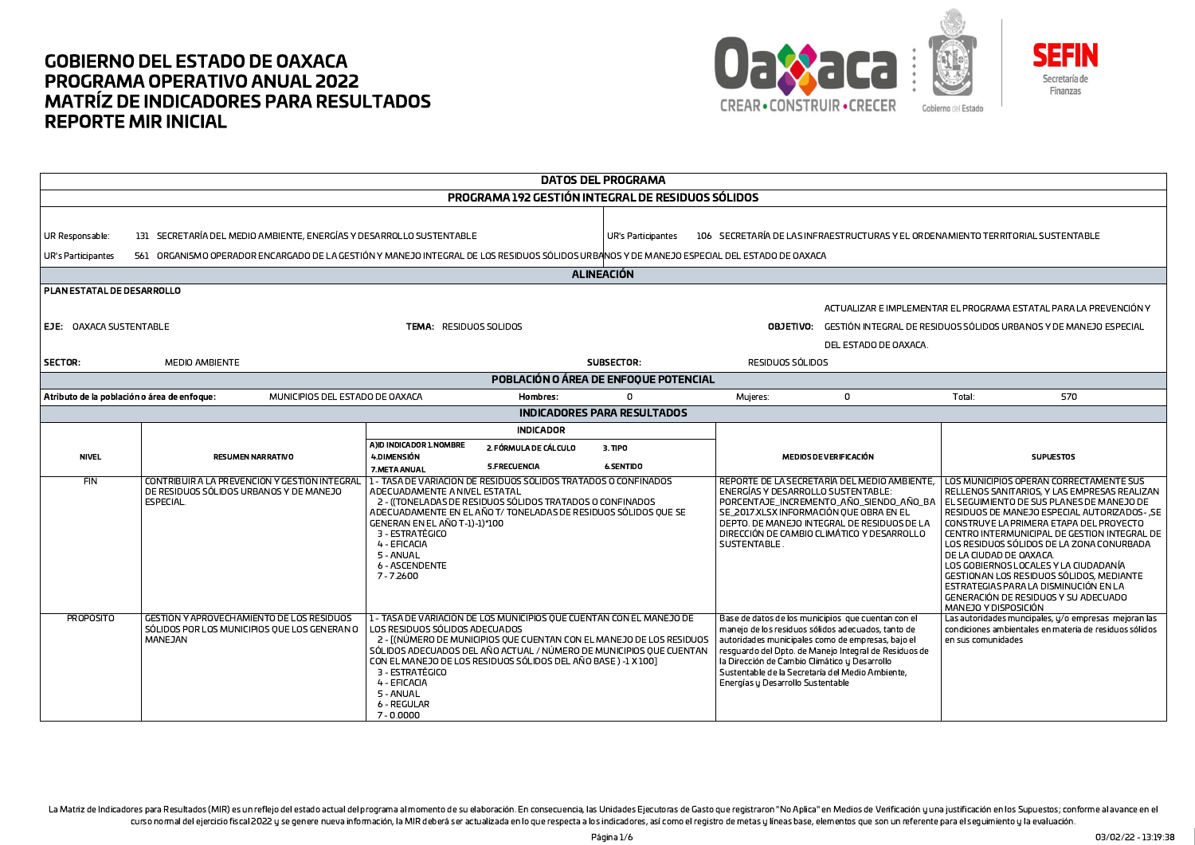



**DATOS DEL PROGRAMA** PROGRAMA 192 GESTIÓN INTEGRAL DE RESIDUOS SÓLIDOS 131 SECRETARÍA DEL MEDIO AMBIENTE, ENERGÍAS Y DESARROLLO SUSTENTABLE UR Responsable UR's Participantes 106 SECRETARÍA DE LAS INFRAESTRUCTURAS Y EL ORDENAMIENTO TERRITORIAL SUSTENTABLE **UR's Participantes** 561 ORGANISMO OPERADOR ENCARGADO DE LA GESTIÓN Y MANEJO INTEGRAL DE LOS RESIDUOS SÓLIDOS URBANOS Y DE MANEJO ESPECIAL DEL ESTADO DE OAXACA **ALINEACIÓN** PLAN ESTATAL DE DESARROLLO ACTUALIZAR E IMPLEMENTAR EL PROGRAMA ESTATAL PARA LA PREVENCIÓN Y EJE: OAXACA SUSTENTABLE **TEMA: RESIDUOS SOLIDOS OBJETIVO:** GESTIÓN INTEGRAL DE RESIDUOS SÓLIDOS URBANOS Y DE MANEJO ESPECIAL DEL ESTADO DE OAXACA. SUBSECTOR: SECTOR: MFDIO AMBIENTE RESIDUOS SÓLIDOS POBLACIÓN O ÁREA DE ENFOQUE POTENCIAL Atributo de la población o área de enfoque: MUNICIPIOS DEL ESTADO DE OAXACA Hombres:  $\sqrt{2}$ Mujeres:  $\Omega$ Total: 570 **INDICADORES PARA RESULTADOS INDICADOR** A)ID INDICADOR 1.NOMBRE 2. FÓRMULA DE CÁLCULO  $3.$  TIPO **NIVEL** 4.DIMENSIÓN **SUPUESTOS RESUMEN NARRATIVO** MEDIOS DE VERIFICACIÓN **S.FRECUENCIA 6.SENTIDO** 7.META ANUAL  $FIN$ CONTRIBUIR A LA PREVENCIÓN Y GESTIÓN INTEGRA 1 - TASA DE VARIACION DE RESIDUOS SÓLIDOS TRATADOS O CONFINADOS LOS MUNICIPIOS OPERAN CORRECTAMENTE SUS REPORTE DE LA SECRETARÍA DEL MEDIO AMBIENTE. DE RESIDUOS SÓLIDOS URBANOS Y DE MANEJO ADECUADAMENTE A NIVEL ESTATAL **ENERGÍAS Y DESARROLLO SUSTENTABLE:** RELLENOS SANITARIOS, Y LAS EMPRESAS REALIZAN **FSPECIAL** 2 - ((TONELADAS DE RESIDUOS SÓLIDOS TRATADOS O CONFINADOS PORCENTAJE INCREMENTO AÑO SIENDO AÑO BA FL SEGUIMIENTO DE SUS PLANES DE MANEJO DE ADECUADAMENTE EN EL AÑO T/ TONELADAS DE RESIDUOS SÓLIDOS QUE SE SE 2017.XI SX INFORMACIÓN OUF OBRA EN FL RESIDUOS DE MANEJO ESPECIAL AUTORIZADOS- SE DEPTO. DE MANEJO INTEGRAL DE RESIDUOS DE LA GENERAN EN EL AÑO T-1)-1)\*100 CONSTRUYE LA PRIMERA ETAPA DEL PROYECTO 3 - ESTRATÉGICO DIRECCIÓN DE CAMBIO CLIMÁTICO Y DESARROLLO CENTRO INTERMUNICIPAL DE GESTION INTEGRAL DE 4 - EFICACIA SUSTENTABLE. LOS RESIDUOS SÓLIDOS DE LA ZONA CONURBADA 5 - ANUAL DE LA CIUDAD DE OAXACA. 6 - ASCENDENTE LOS GOBIERNOS LOCALES Y LA CIUDADANÍA 7-7.2600 GESTIONAN LOS RESIDUOS SÓLIDOS, MEDIANTE ESTRATEGIAS PARA LA DISMINUCIÓN EN LA GENERACIÓN DE RESIDUOS Y SU ADECUADO MANEJO Y DISPOSICIÓN **PROPÓSITO GESTIÓN Y APROVECHAMIENTO DE LOS RESIDUOS** 1 - TASA DE VARIACIÓN DE LOS MUNICIPIOS QUE CUENTAN CON EL MANEJO DE Base de datos de los municipios que cuentan con el Las autoridades muncipales, y/o empresas mejoran las SÓLIDOS POR LOS MUNICIPIOS QUE LOS GENERAN O LOS RESIDUOS SÓLIDOS ADECUADOS manejo de los residuos sólidos adecuados, tanto de condiciones ambientales en materia de residuos sólidos autoridades municipales como de empresas, bajo el MANEJAN 2 - [(NÚMERO DE MUNICIPIOS QUE CUENTAN CON EL MANEJO DE LOS RESIDUOS en sus comunidades SÓLIDOS ADECUADOS DEL AÑO ACTUAL / NÚMERO DE MUNICIPIOS QUE CUENTAN l resouardo del Doto, de Maneio Integral de Residuos de CON EL MANEJO DE LOS RESIDUOS SÓLIDOS DEL AÑO BASE ) -1 X 1001 la Dirección de Cambio Climático y Desarrollo Sustentable de la Secretaría del Medio Ambiente. 3 - ESTRATÉGICO 4 - EFICACIA Energías y Desarrollo Sustentable 5 - ANUAL 6 - REGULAR  $7 - 0.0000$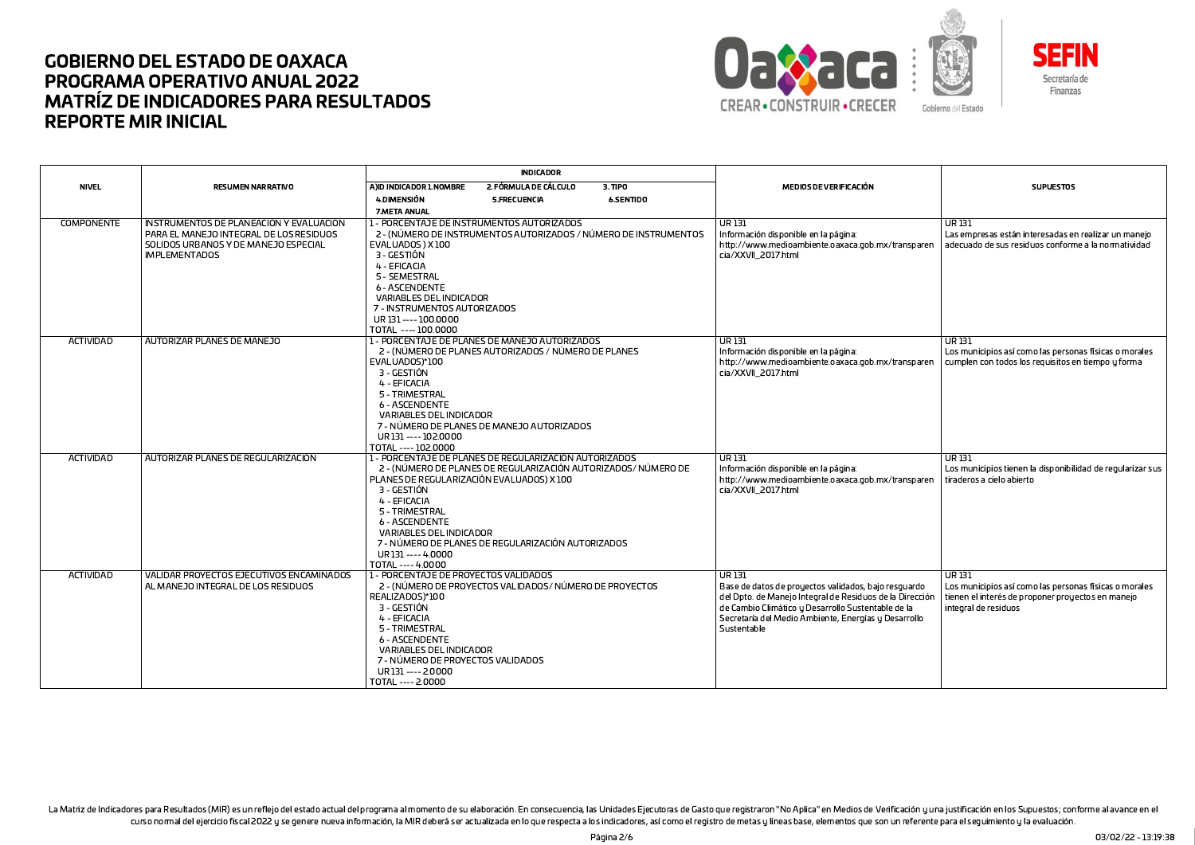



**INDICADOR NIVEL** A)ID INDICADOR 1.NOMBRE 2. FÓRMULA DE CÁLCULO **SUPUESTOS RESUMEN NARRATIVO**  $3.$  TIPO MEDIOS DE VERIFICACIÓN 4.DIMENSIÓN 5.FRECUENCIA **6.SENTIDO** 7.META ANUAL **COMPONENTE** INSTRUMENTOS DE PLANEACIÓN Y EVALUACIÓN 1 - PORCENTAJE DE INSTRUMENTOS AUTORIZADOS  $\overline{UR}$  131  $\overline{UR}$  131 PARA FL MANE TO INTEGRAL DE LOS RESIDUOS 2 - (NÚMERO DE INSTRUMENTOS AUTORIZADOS / NÚMERO DE INSTRUMENTOS Información disponible en la página: Las empresas están interesadas en realizar un maneio SOLIDOS URBANOS Y DE MANEJO ESPECIAL EVALUADOS) X100 http://www.medioambiente.oaxaca.gob.mx/transparer adecuado de sus residuos conforme a la normatividad **IMPLEMENTADOS** 3 - GESTIÓN cia/XXVII 2017.html 4 - EFICACIA 5 - SEMESTRAI **6 - ASCENDENTE VARIABLES DEL INDICADOR** 7 - INSTRUMENTOS AUTORIZADOS UR 131 ---- 100.0000 TOTAL ---- 100.0000 ACTIVIDAD AUTORIZAR PLANES DE MANEJO 1 - PORCENTAJE DE PLANES DE MANEJO AUTORIZADOS **UR131 UR131** 2 - (NÚMERO DE PLANES AUTORIZADOS / NÚMERO DE PLANES Información disponible en la página: Los municipios así como las personas físicas o morales EVALUADOS)\*100 http://www.medioambiente.oaxaca.gob.mx/transparer cumplen con todos los requisitos en tiempo u forma 3 - GESTIÓN cia/XXVII 2017.html 4 - FFICACIA 5 - TRIMESTRAL **6 - ASCENDENTE VARIABLES DEL INDICADOR** 7 - NÚMERO DE PLANES DE MANEJO AUTORIZADOS UR 131 ---- 102,0000 TOTAL ---- 102,0000 ACTIVIDAD AUTORIZAR PLANES DE REGULARIZACIÓN 1 - PORCENTAJE DE PLANES DE REGULARIZACIÓN AUTORIZADOS UR 131 UR 131 2 - (NÚMERO DE PLANES DE REGULARIZACIÓN AUTORIZADOS/NÚMERO DE Información disponible en la página: Los municipios tienen la disponibilidad de regularizar sus PLANES DE REGULARIZACIÓN EVALUADOS) X 100 http://www.medioambiente.oaxaca.gob.mx/transparen tiraderos a cielo abierto 3 - GESTIÓN cia/XXVII 2017.html 4 - EFICACIA 5 - TRIMESTRAL 6 - ASCENDENTE VARIABLES DEL INDICADOR 7 - NÚMERO DE PLANES DE REGULARIZACIÓN AUTORIZADOS UR131---- 4.0000 TOTAL ---- 4.0000 **ACTIVIDAD** VALIDAR PROYECTOS EJECUTIVOS ENCAMINADOS 1 - PORCENTAJE DE PROYECTOS VALIDADOS  $\overline{UR}$  131  $\overline{UR}$  131 AL MANEJO INTEGRAL DE LOS RESIDUOS 2 - (NÚMERO DE PROYECTOS VALIDADOS/NÚMERO DE PROYECTOS Base de datos de proyectos validados, bajo resquardo Los municipios así como las personas físicas o morales REALIZADOS)\*100 del Dpto. de Manejo Integral de Residuos de la Dirección tienen el interés de proponer proyectos en manejo 3 - GESTIÓN de Cambio Climático y Desarrollo Sustentable de la integral de residuos 4 - EFICACIA Secretaría del Medio Ambiente, Energías y Desarrollo 5 - TRIMESTRAL Sustentable 6 - ASCENDENTE VARIABLES DEL INDICADOR 7 - NÚMERO DE PROYECTOS VALIDADOS UR 131 ---- 2.0000 TOTAL ---- 2.0000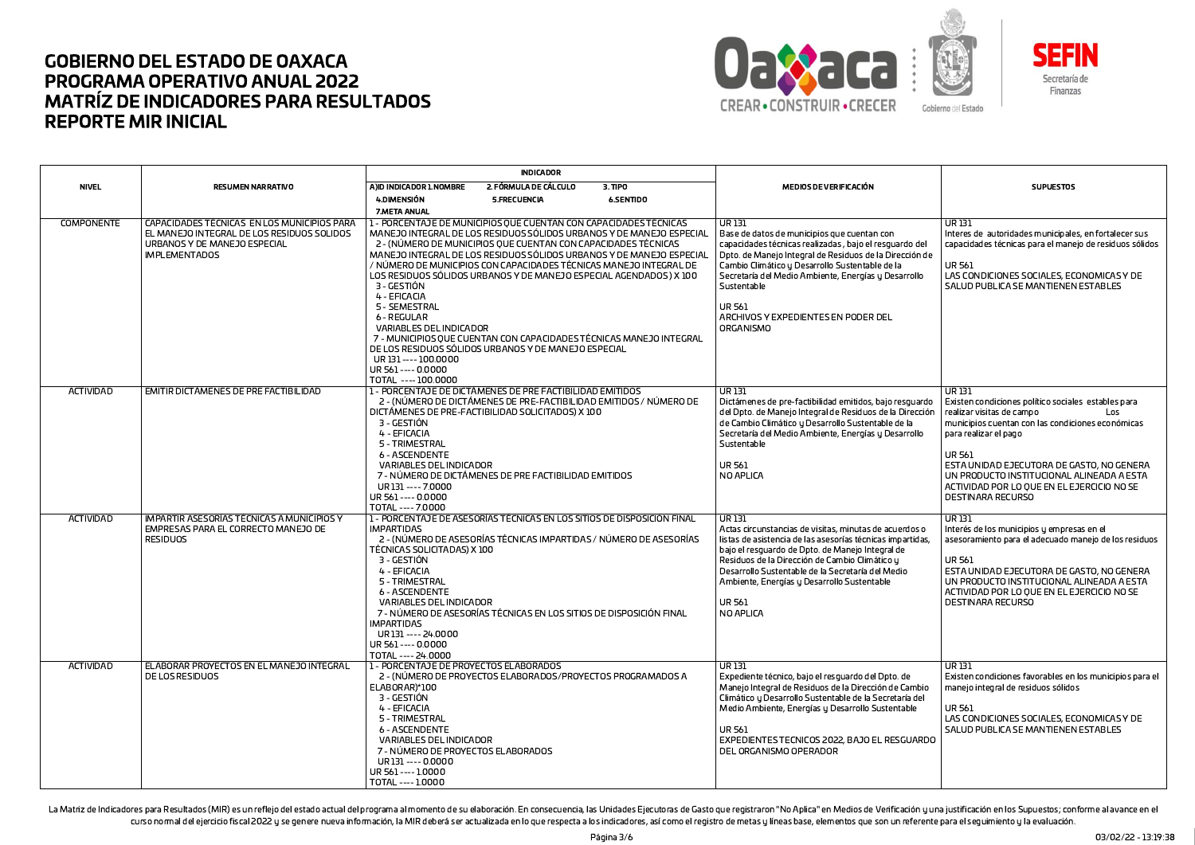



**INDICADOR NIVEL** A)ID INDICADOR 1.NOMBRE 2. FÓRMULA DE CÁLCULO **RESUMEN NARRATIVO**  $3.$  TIPO MEDIOS DE VERIFICACIÓN **SUPUESTOS** 4.DIMENSIÓN 5.FRECUENCIA **6.SENTIDO** 7.META ANUAL **COMPONENTE** CAPACIDADES TÉCNICAS EN LOS MUNICIPIOS PARA 1 - PORCENTAJE DE MUNICIPIOS QUE CUENTAN CON CAPACIDADES TÉCNICAS UR<sub>131</sub>  $URI3I$ EL MANEJO INTEGRAL DE LOS RESIDUOS SOLIDOS MANEJO INTEGRAL DE LOS RESIDUOS SÓLIDOS URBANOS Y DE MANEJO ESPECIAL .<br>I Base de datos de municipios que cuentan con Interes de autoridades municipales, en fortalecer sus 2 - (NÚMERO DE MUNICIPIOS QUE CUENTAN CON CAPACIDADES TÉCNICAS URBANOS Y DE MANEJO ESPECIAL capacidades técnicas realizadas, bajo el resquardo del capacidades técnicas para el manejo de residuos sólidos **IMPLEMENTADOS** MANEJO INTEGRAL DE LOS RESIDUOS SÓLIDOS URBANOS Y DE MANEJO ESPECIAI Dpto. de Manejo Integral de Residuos de la Dirección de / NÚMERO DE MUNICIPIOS CON CAPACIDADES TÉCNICAS MANEJO INTEGRAL DE **UR 561** Cambio Climático y Desarrollo Sustentable de la LAS CONDICIONES SOCIALES, ECONOMICAS Y DE LOS RESIDUOS SÓLIDOS URBANOS Y DE MANEJO ESPECIAL AGENDADOS ) X 100 Secretaría del Medio Ambiente, Energías y Desarrollo 3 - GESTIÓN SALUD PUBLICA SE MANTIENEN ESTABLES Sustentable 4 - FFICACIA 5 - SEMESTRAL **UR 561** ARCHIVOS Y EXPEDIENTES EN PODER DEL 6 - REGULAR **VARIABLES DEL INDICADOR** ORGANISMO 7 - MUNICIPIOS QUE CUENTAN CON CAPACIDADES TÉCNICAS MANEJO INTEGRAL DE LOS RESIDUOS SÓLIDOS URBANOS Y DE MANEJO ESPECIAL UR 131 ---- 100.0000 UR 561 ---- 0.0000 TOTAL ---- 100.0000 ACTIVIDAD EMITIR DICTAMENES DE PRE FACTIBILIDAD 1 - PORCENTAJE DE DICTÁMENES DE PRE FACTIBILIDAD EMITIDOS UR131 **UR131** 2 - (NÚMERO DE DICTÁMENES DE PRE-FACTIBILIDAD EMITIDOS / NÚMERO DE Dictámenes de pre-factibilidad emitidos, bajo resquardo Existen condiciones político sociales estables para DICTÁMENES DE PRE-FACTIBILIDAD SOLICITADOS) X 100 del Dpto. de Manejo Integral de Residuos de la Dirección realizar visitas de campo Los 3 - GESTIÓN de Cambio Climático y Desarrollo Sustentable de la municipios cuentan con las condiciones económicas 4 - EFICACIA Secretaría del Medio Ambiente, Energías y Desarrollo para realizar el pago 5 - TRIMESTRAL Sustentable **6 - ASCENDENTE UR 561** UR 561 ESTA UNIDAD EJECUTORA DE GASTO, NO GENERA VARIABLES DEL INDICADOR 7 - NÚMERO DE DICTÁMENES DE PRE FACTIBILIDAD EMITIDOS NO APLICA UN PRODUCTO INSTITUCIONAL ALINEADA A ESTA UR131---- 7.0000 ACTIVIDAD POR LO OUE EN EL EJERCICIO NO SE UR 561 ---- 0.0000 **DESTINARA RECURSO** TOTAL ---- 7.0000 ACTIVIDAD IMPARTIR ASESORÍAS TÉCNICAS A MUNICIPIOS Y 1 - PORCENTAJE DE ASESORÍAS TÉCNICAS EN LOS SITIOS DE DISPOSICIÓN FINAL UR 131  $UR131$ EMPRESAS PARA EL CORRECTO MANEJO DE **IMPARTIDAS** Actas circunstancias de visitas, minutas de acuerdos o Interés de los municipios y empresas en el **RESIDUOS** 2 - (NÚMERO DE ASESORÍAS TÉCNICAS IMPARTIDAS / NÚMERO DE ASESORÍAS listas de asistencia de las asesorías técnicas impartidas. asesoramiento para el adecuado manejo de los residuos TÉCNICAS SOLICITADAS) X 100 bajo el resquardo de Dpto. de Manejo Integral de 3 - GESTIÓN Residuos de la Dirección de Cambio Climático u **UR 561** Desarrollo Sustentable de la Secretaría del Medio 4 - EFICACIA ESTA UNIDAD EJECUTORA DE GASTO, NO GENERA Ambiente, Energías y Desarrollo Sustentable UN PRODUCTO INSTITUCIONAL ALINEADA A ESTA 5 - TRIMESTRAL ACTIVIDAD POR LO OUE EN EL EJERCICIO NO SE **6 - ASCENDENTE** VARIABLES DEL INDICADOR **UR561 DESTINARA RECURSO** 7 - NÚMERO DE ASESORÍAS TÉCNICAS EN LOS SITIOS DE DISPOSICIÓN FINAL NO APLICA **IMPARTIDAS** UR131---- 24.0000 UR 561 ---- 0.0000 TOTAL ---- 24.0000 ELABORAR PROYECTOS EN EL MANEJO INTEGRAL **ACTIVIDAD** 1 - PORCENTAJE DE PROYECTOS ELABORADOS  $\overline{UR}$  131 **UR131** DE LOS RESIDUOS 2 - (NÚMERO DE PROYECTOS EL ABORADOS/PROYECTOS PROGRAMADOS A Expediente técnico, bajo el resquardo del Dpto. de Existen condiciones favorables en los municipios para el ELABORAR)\*100 Manejo Integral de Residuos de la Dirección de Cambio manejo integral de residuos sólidos 3 - GESTIÓN Climático y Desarrollo Sustentable de la Secretaría del 4 - EFICACIA Medio Ambiente, Energías y Desarrollo Sustentable **UR561** 5 - TRIMESTRAL LAS CONDICIONES SOCIALES, ECONOMICAS Y DE SALUD PUBLICA SE MANTIENEN ESTABLES 6 - ASCENDENTE **UR 561** VARIABLES DEL INDICADOR EXPEDIENTES TECNICOS 2022, BAJO EL RESGUARDO 7 - NÚMERO DE PROYECTOS ELABORADOS DEL ORGANISMO OPERADOR UR 131 ---- 0.0000 UR 561 ---- 1.0000 TOTAL ---- 1.0000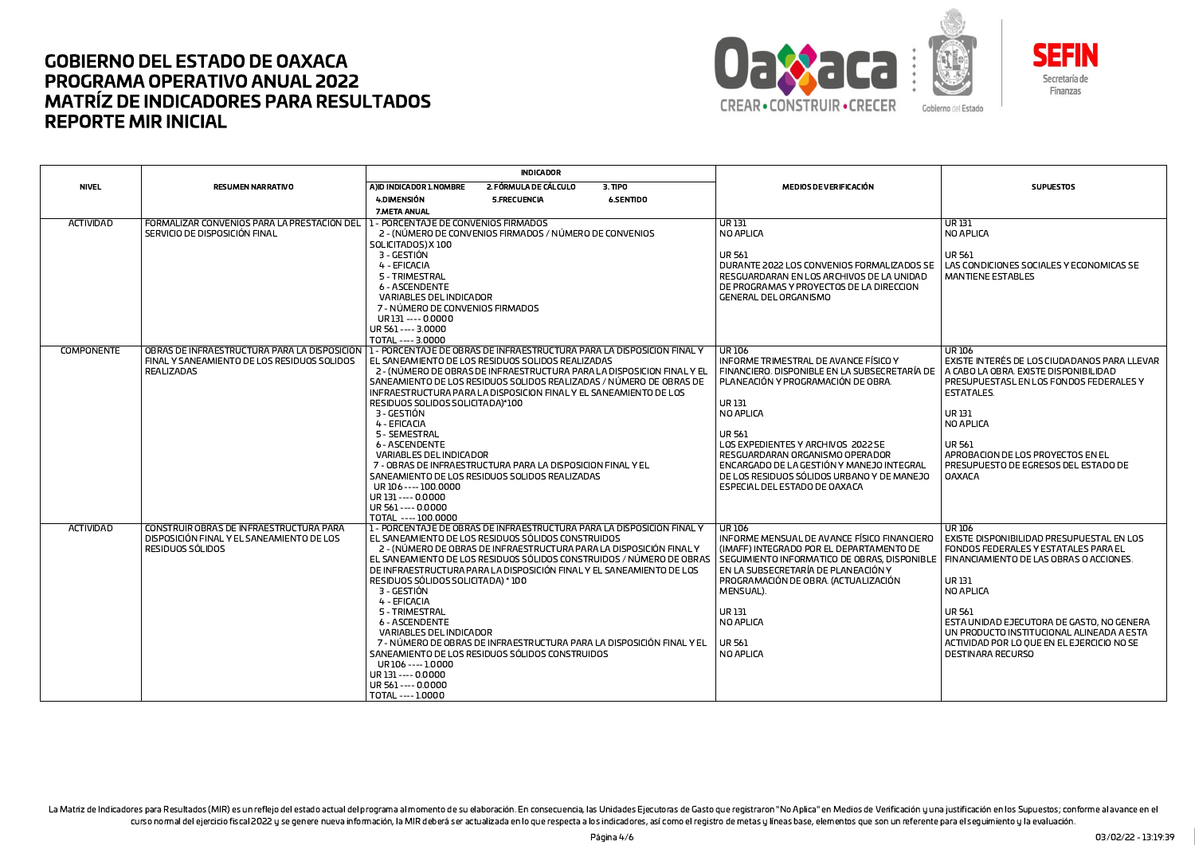



**INDICADOR NIVEL** A)ID INDICADOR 1.NOMBRE 2. FÓRMULA DE CÁLCULO **RESUMEN NARRATIVO**  $3.$  TIPO MEDIOS DE VERIFICACIÓN **SUPUESTOS** 4.DIMENSIÓN 5.FRECUENCIA **6.SENTIDO** 7.META ANUAL **ACTIVIDAD** FORMALIZAR CONVENIOS PARA LA PRESTACIÓN DE 1 - PORCENTAJE DE CONVENIOS FIRMADOS  $\overline{UR}$  131  $URI3I$ SERVICIO DE DISPOSICIÓN FINAL 2 - (NÚMERO DE CONVENIOS FIRMADOS / NÚMERO DE CONVENIOS NO APLICA NO APLICA SOLICITADOS) X100 **UR 561** 3 - GESTIÓN **UR 561** 4 - EFICACIA DURANTE 2022 LOS CONVENIOS FORMALIZADOS SE LAS CONDICIONES SOCIALES Y ECONOMICAS SE 5 - TRIMESTRAL RESGUARDARAN EN LOS ARCHIVOS DE LA UNIDAD **MANTIENE ESTABLES 6 - ASCENDENTE** DE PROGRAMAS Y PROYECTOS DE LA DIRECCION VARIABLES DEL INDICADOR GENERAL DEL ORGANISMO 7 - NÚMERO DE CONVENIOS FIRMADOS UR 131 ---- 0.0000 UR 561 ---- 3.0000 TOTAL ---- 3.0000 **COMPONENTE** OBRAS DE INFRAESTRUCTURA PARA LA DISPOSICIÓN 1 - PORCENTAJE DE OBRAS DE INFRAESTRUCTURA PARA LA DISPOSICION FINAL Y **LUR106 UR106** FINAL Y SANEAMIENTO DE LOS RESIDUOS SOLIDOS EL SANEAMIENTO DE LOS RESIDUOS SOLIDOS REALIZADAS EXISTE INTERÉS DE LOS CIUDADANOS PARA LLEVAR INFORME TRIMESTRAL DE AVANCE FÍSICO Y REALIZADAS 2 - (NÚMERO DE OBRAS DE INFRAESTRUCTURA PARA LA DISPOSICION FINAL Y EL FINANCIERO. DISPONIBLE EN LA SUBSECRETARÍA DE A CABO LA OBRA. EXISTE DISPONIBILIDAD SANEAMIENTO DE LOS RESIDUOS SOLIDOS REALIZADAS / NÚMERO DE OBRAS DE PLANEACIÓN Y PROGRAMACIÓN DE OBRA. PRESUPUESTASL EN LOS FONDOS FEDERALES Y INFRAESTRUCTURA PARA LA DISPOSICION FINAL Y FL SANFAMIENTO DE LOS **ESTATALES** RESIDUOS SOLIDOS SOLICITADA)\*100 UR 131 UR 131 3 - GESTIÓN NO APLICA 4 - EFICACIA NO APLICA 5 - SEMESTRAL **UR 561 6 - ASCENDENTE** LOS EXPEDIENTES Y ARCHIVOS 2022 SE **UR561 VARIABLES DEL INDICADOR** RESGUARDARAN ORGANISMO OPERADOR APROBACION DE LOS PROYECTOS EN EL 7 - OBRAS DE INFRAESTRUCTURA PARA LA DISPOSICION FINAL Y EL ENCARGADO DE LA GESTIÓN Y MANEJO INTEGRAL PRESUPUESTO DE EGRESOS DEL ESTADO DE SANEAMIENTO DE LOS RESIDUOS SOLIDOS REALIZADAS DE LOS RESIDUOS SÓLIDOS URBANO Y DE MANEJO **OAXACA** UR106 ---- 100.0000 ESPECIAL DEL ESTADO DE OAXACA UR 131 ---- 0.0000 UR 561 ---- 0.0000 TOTAL ---- 100.0000 **ACTIVIDAD** CONSTRUIR OBRAS DE INFRAESTRUCTURA PARA 1 - PORCENTAJE DE OBRAS DE INFRAESTRUCTURA PARA LA DISPOSICIÓN FINAL Y UR106 UR106 DISPOSICIÓN FINAL Y EL SANEAMIENTO DE LOS EL SANEAMIENTO DE LOS RESIDUOS SÓLIDOS CONSTRUIDOS INFORME MENSUAL DE AVANCE FÍSICO FINANCIERO EXISTE DISPONIBILIDAD PRESUPUESTAL EN LOS RESIDUOS SÓLIDOS 2 - (NÚMERO DE OBRAS DE INFRAESTRUCTURA PARA LA DISPOSICIÓN FINAL Y (IMAFF) INTEGRADO POR EL DEPARTAMENTO DE FONDOS FEDERALES Y ESTATALES PARA EL SEGUIMIENTO INFORMATICO DE OBRAS, DISPONIBLE EL SANEAMIENTO DE LOS RESIDUOS SÓLIDOS CONSTRUIDOS / NÚMERO DE OBRAS FINANCIAMIENTO DE LAS OBRAS O ACCIONES. FN LA SUBSECRETARÍA DE PLANEACIÓN Y DE INFRAFSTRUCTURA PARA LA DISPOSICIÓN FINAL Y FL SANFAMIENTO DE LOS RESIDUOS SÓLIDOS SOLICITADA) \* 100 PROGRAMACIÓN DE OBRA. (ACTUALIZACIÓN **UR131** 3 - GESTIÓN MENSUAL). NO APLICA 4 - EFICACIA 5 - TRIMESTRAL UR 131 **UR561** 6 - ASCENDENTE NO APLICA ESTA UNIDAD EJECUTORA DE GASTO, NO GENERA UN PRODUCTO INSTITUCIONAL ALINEADA A ESTA VARIABLES DEL INDICADOR 7 - NÚMERO DE OBRAS DE INFRAESTRUCTURA PARA LA DISPOSICIÓN FINAL Y EL UR 561 ACTIVIDAD POR LO QUE EN EL EJERCICIO NO SE SANEAMIENTO DE LOS RESIDUOS SÓLIDOS CONSTRUIDOS NO API ICA DESTINARA RECURSO UR106 ---- 1,0000 UR 131 ---- 0.0000 UR 561 ---- 0.0000 TOTAL ---- 1.0000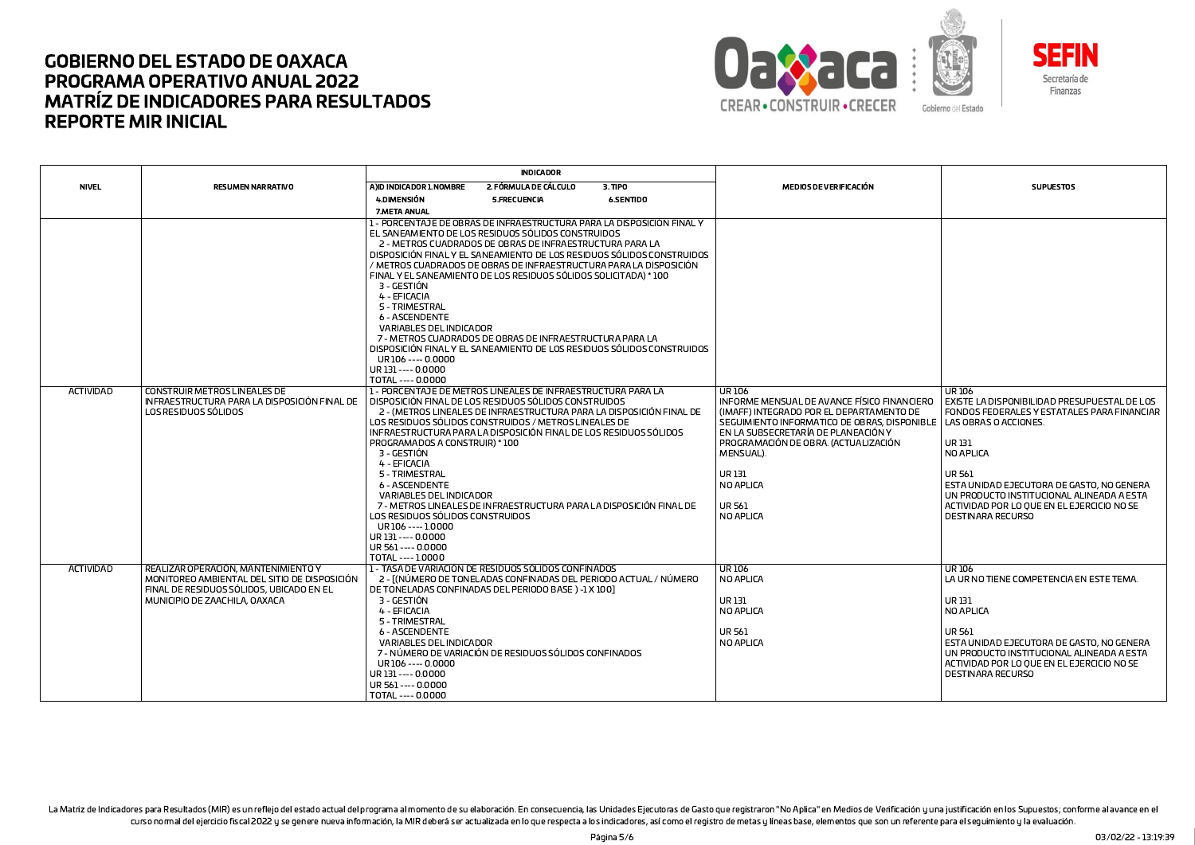



**INDICADOR NIVEL** A)ID INDICADOR 1.NOMBRE 2. FÓRMULA DE CÁLCULO **RESUMEN NARRATIVO**  $3.$  TIPO MEDIOS DE VERIFICACIÓN **SUPUESTOS** 4.DIMENSIÓN 5.FRECUENCIA **6.SENTIDO** 7.META ANUAL 1 - PORCENTAJE DE OBRAS DE INFRAESTRUCTURA PARA LA DISPOSICIÓN FINAL Y EL SANEAMIENTO DE LOS RESIDUOS SÓLIDOS CONSTRUIDOS 2 - METROS CUADRADOS DE OBRAS DE INFRAESTRUCTURA PARA LA DISPOSICIÓN FINAL Y EL SANEAMIENTO DE LOS RESIDUOS SÓLIDOS CONSTRUIDOS / METROS CUADRADOS DE OBRAS DE INFRAESTRUCTURA PARA LA DISPOSICIÓN FINAL Y EL SANEAMIENTO DE LOS RESIDUOS SÓLIDOS SOLICITADA) \* 100 3 - GESTIÓN 4 - EFICACIA 5 - TRIMESTRAL 6 - ASCENDENTE VARIABLES DEL INDICADOR 7 - METROS CUADRADOS DE OBRAS DE INFRAESTRUCTURA PARA LA DISPOSICIÓN FINAL Y EL SANEAMIENTO DE LOS RESIDUOS SÓLIDOS CONSTRUIDOS UR106 ---- 0.0000 UR 131 ---- 0.0000 TOTAL ---- 0.0000 ACTIVIDAD **CONSTRUIR METROS LINEALES DE** 1 - PORCENTAJE DE METROS LINEALES DE INFRAESTRUCTURA PARA LA UR106 **UR106** INFRAESTRUCTURA PARA LA DISPOSICIÓN FINAL DE DISPOSICIÓN FINAL DE LOS RESIDUOS SÓLIDOS CONSTRUIDOS INFORME MENSUAL DE AVANCE FÍSICO FINANCIERO EXISTE LA DISPONIBILIDAD PRESUPUESTAL DE LOS LOS RESIDUOS SÓLIDOS 2 - (METROS LINEALES DE INFRAESTRUCTURA PARA LA DISPOSICIÓN FINAL DE (IMAFF) INTEGRADO POR EL DEPARTAMENTO DE FONDOS FEDERALES Y ESTATALES PARA FINANCIAR LOS RESIDUOS SÓLIDOS CONSTRUIDOS / METROS LINEALES DE SEGUIMIENTO INFORMATICO DE OBRAS, DISPONIBLI LAS OBRAS O ACCIONES. INFRAESTRUCTURA PARA LA DISPOSICIÓN FINAL DE LOS RESIDUOS SÓLIDOS LEN LA SUBSECRETARÍA DE PLANEACIÓN Y PROGRAMADOS A CONSTRUIR) \* 100 PROGRAMACIÓN DE OBRA. (ACTUALIZACIÓN **UR131** 3 - GESTIÓN MENSUAL). NO APLICA 4 - EFICACIA 5 - TRIMESTRAL  $U$ R 131 UR 561 6 - ASCENDENTE NO APLICA ESTA UNIDAD EJECUTORA DE GASTO, NO GENERA VARIABLES DEL INDICADOR UN PRODUCTO INSTITUCIONAL ALINEADA A ESTA 7 - METROS LINEALES DE INFRAESTRUCTURA PARA LA DISPOSICIÓN FINAL DE UR 561 ACTIVIDAD POR LO QUE EN EL EJERCICIO NO SE NO APLICA LOS RESIDUOS SÓLIDOS CONSTRUIDOS DESTINARA RECURSO UR106 ---- 1,0000 UR 131 ---- 0.0000 UR 561 ---- 0.0000 TOTAL ---- 1.0000 ACTIVIDAD REALIZAR OPERACIÓN, MANTENIMIENTO Y 1 - TASA DE VARIACIÓN DE RESIDUOS SÓLIDOS CONFINADOS **UR106 UR106** MONITOREO AMBIENTAL DEL SITIO DE DISPOSICIÓN 2 - [(NÚMERO DE TONELADAS CONFINADAS DEL PERIODO ACTUAL / NÚMERO NO APLICA LA UR NO TIENE COMPETENCIA EN ESTE TEMA. FINAL DE RESIDUOS SÓLIDOS, UBICADO EN EL DE TONELADAS CONFINADAS DEL PERIODO BASE) -1 X 100] MUNICIPIO DE ZAACHILA, OAXACA luran ובו סט 3 - GESTIÓN 4 - EFICACIA NO APLICA NO APLICA 5 - TRIMESTRAL **6 - ASCENDENTE UR 561 UR561** VARIABLES DEL INDICADOR ESTA UNIDAD EJECUTORA DE GASTO, NO GENERA NO APLICA 7 - NÚMERO DE VARIACIÓN DE RESIDUOS SÓLIDOS CONFINADOS UN PRODUCTO INSTITUCIONAL ALINEADA A ESTA UR106 ---- 0.0000 ACTIVIDAD POR LO OUF EN EL EJERCICIO NO SE UR 131 ---- 0.0000 DESTINARA RECURSO UR 561 ---- 0.0000 TOTAL ---- 0.0000